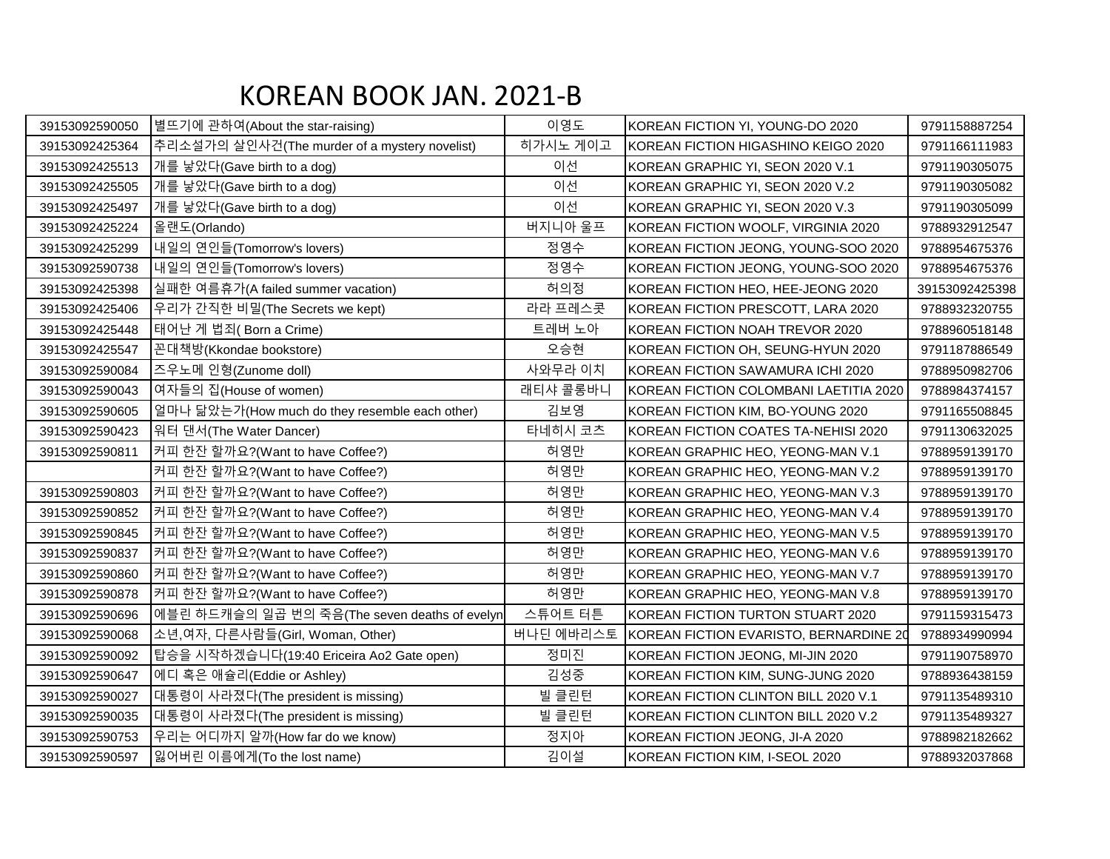## KOREAN BOOK JAN. 2021-B

| 39153092590050 | 별뜨기에 관하여(About the star-raising)               | 이영도       | KOREAN FICTION YI, YOUNG-DO 2020       | 9791158887254  |
|----------------|------------------------------------------------|-----------|----------------------------------------|----------------|
| 39153092425364 | 추리소설가의 살인사건(The murder of a mystery novelist)  | 히가시노 게이고  | KOREAN FICTION HIGASHINO KEIGO 2020    | 9791166111983  |
| 39153092425513 | 개를 낳았다(Gave birth to a dog)                    | 이선        | KOREAN GRAPHIC YI, SEON 2020 V.1       | 9791190305075  |
| 39153092425505 | 개를 낳았다(Gave birth to a dog)                    | 이선        | KOREAN GRAPHIC YI, SEON 2020 V.2       | 9791190305082  |
| 39153092425497 | 개를 낳았다(Gave birth to a dog)                    | 이선        | KOREAN GRAPHIC YI, SEON 2020 V.3       | 9791190305099  |
| 39153092425224 | 올랜도(Orlando)                                   | 버지니아 울프   | KOREAN FICTION WOOLF, VIRGINIA 2020    | 9788932912547  |
| 39153092425299 | 내일의 연인들(Tomorrow's lovers)                     | 정영수       | KOREAN FICTION JEONG, YOUNG-SOO 2020   | 9788954675376  |
| 39153092590738 | 내일의 연인들(Tomorrow's lovers)                     | 정영수       | KOREAN FICTION JEONG, YOUNG-SOO 2020   | 9788954675376  |
| 39153092425398 | 실패한 여름휴가(A failed summer vacation)             | 허의정       | KOREAN FICTION HEO, HEE-JEONG 2020     | 39153092425398 |
| 39153092425406 | 우리가 간직한 비밀(The Secrets we kept)                | 라라 프레스콧   | KOREAN FICTION PRESCOTT, LARA 2020     | 9788932320755  |
| 39153092425448 | 태어난 게 법죄(Born a Crime)                         | 트레버 노아    | KOREAN FICTION NOAH TREVOR 2020        | 9788960518148  |
| 39153092425547 | 꼰대책방(Kkondae bookstore)                        | 오승현       | KOREAN FICTION OH, SEUNG-HYUN 2020     | 9791187886549  |
| 39153092590084 | 즈우노메 인형(Zunome doll)                           | 사와무라 이치   | KOREAN FICTION SAWAMURA ICHI 2020      | 9788950982706  |
| 39153092590043 | 여자들의 집(House of women)                         | 래티샤 콜롱바니  | KOREAN FICTION COLOMBANI LAETITIA 2020 | 9788984374157  |
| 39153092590605 | 일마나 닮았는가(How much do they resemble each other) | 김보영       | KOREAN FICTION KIM, BO-YOUNG 2020      | 9791165508845  |
| 39153092590423 | 워터 댄서(The Water Dancer)                        | 타네히시 코츠   | KOREAN FICTION COATES TA-NEHISI 2020   | 9791130632025  |
| 39153092590811 | 커피 한잔 할까요?(Want to have Coffee?)               | 허영만       | KOREAN GRAPHIC HEO, YEONG-MAN V.1      | 9788959139170  |
|                | 커피 한잔 할까요?(Want to have Coffee?)               | 허영만       | KOREAN GRAPHIC HEO, YEONG-MAN V.2      | 9788959139170  |
| 39153092590803 | 커피 한잔 할까요?(Want to have Coffee?)               | 허영만       | KOREAN GRAPHIC HEO, YEONG-MAN V.3      | 9788959139170  |
| 39153092590852 | 커피 한잔 할까요?(Want to have Coffee?)               | 허영만       | KOREAN GRAPHIC HEO, YEONG-MAN V.4      | 9788959139170  |
| 39153092590845 | 커피 한잔 할까요? (Want to have Coffee?)              | 허영만       | KOREAN GRAPHIC HEO, YEONG-MAN V.5      | 9788959139170  |
| 39153092590837 | 커피 한잔 할까요?(Want to have Coffee?)               | 허영만       | KOREAN GRAPHIC HEO, YEONG-MAN V.6      | 9788959139170  |
| 39153092590860 | 커피 한잔 할까요?(Want to have Coffee?)               | 허영만       | KOREAN GRAPHIC HEO, YEONG-MAN V.7      | 9788959139170  |
| 39153092590878 | 커피 한잔 할까요? (Want to have Coffee?)              | 허영만       | KOREAN GRAPHIC HEO, YEONG-MAN V.8      | 9788959139170  |
| 39153092590696 | 에블린 하드캐슬의 일곱 번의 죽음(The seven deaths of evelyn  | 스튜어트 터튼   | KOREAN FICTION TURTON STUART 2020      | 9791159315473  |
| 39153092590068 | 소년,여자, 다른사람들(Girl, Woman, Other)               | 버나딘 에바리스토 | KOREAN FICTION EVARISTO, BERNARDINE 20 | 9788934990994  |
| 39153092590092 | 탑승을 시작하겠습니다(19:40 Ericeira Ao2 Gate open)      | 정미진       | KOREAN FICTION JEONG, MI-JIN 2020      | 9791190758970  |
| 39153092590647 | 에디 혹은 애슐리(Eddie or Ashley)                     | 김성중       | KOREAN FICTION KIM, SUNG-JUNG 2020     | 9788936438159  |
| 39153092590027 | 대통령이 사라졌다(The president is missing)            | 빌 클린턴     | KOREAN FICTION CLINTON BILL 2020 V.1   | 9791135489310  |
| 39153092590035 | 대통령이 사라졌다(The president is missing)            | 빌 클린턴     | KOREAN FICTION CLINTON BILL 2020 V.2   | 9791135489327  |
| 39153092590753 | 우리는 어디까지 알까(How far do we know)                | 정지아       | KOREAN FICTION JEONG, JI-A 2020        | 9788982182662  |
| 39153092590597 | 잃어버린 이름에게(To the lost name)                    | 김이설       | KOREAN FICTION KIM, I-SEOL 2020        | 9788932037868  |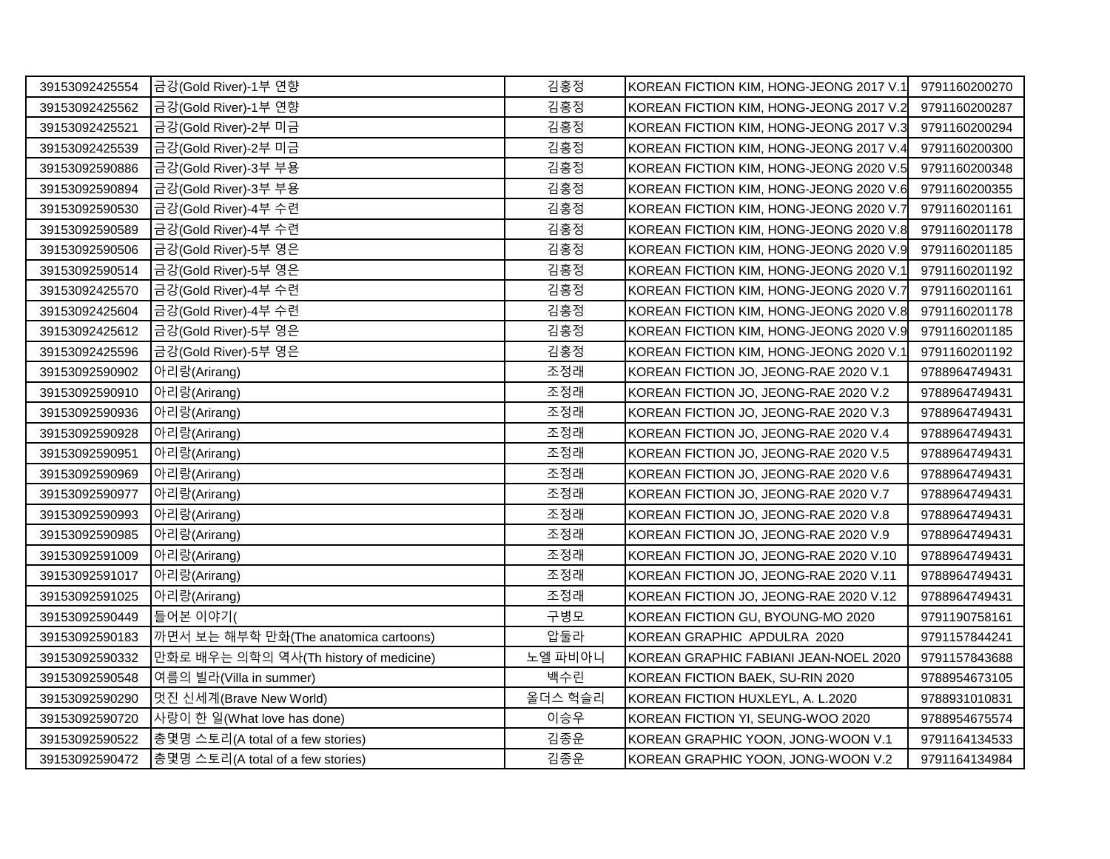| 39153092425554 | 금강(Gold River)-1부 연향                   | 김홍정     | KOREAN FICTION KIM, HONG-JEONG 2017 V.1 | 9791160200270 |
|----------------|----------------------------------------|---------|-----------------------------------------|---------------|
| 39153092425562 | 금강(Gold River)-1부 연향                   | 김홍정     | KOREAN FICTION KIM, HONG-JEONG 2017 V.2 | 9791160200287 |
| 39153092425521 | 금강(Gold River)-2부 미금                   | 김홍정     | KOREAN FICTION KIM, HONG-JEONG 2017 V.3 | 9791160200294 |
| 39153092425539 | 금강(Gold River)-2부 미금                   | 김홍정     | KOREAN FICTION KIM, HONG-JEONG 2017 V.4 | 9791160200300 |
| 39153092590886 | 금강(Gold River)-3부 부용                   | 김홍정     | KOREAN FICTION KIM, HONG-JEONG 2020 V.5 | 9791160200348 |
| 39153092590894 | 금강(Gold River)-3부 부용                   | 김홍정     | KOREAN FICTION KIM, HONG-JEONG 2020 V.6 | 9791160200355 |
| 39153092590530 | 금강(Gold River)-4부 수련                   | 김홍정     | KOREAN FICTION KIM, HONG-JEONG 2020 V.7 | 9791160201161 |
| 39153092590589 | 금강(Gold River)-4부 수련                   | 김홍정     | KOREAN FICTION KIM, HONG-JEONG 2020 V.8 | 9791160201178 |
| 39153092590506 | 금강(Gold River)-5부 영은                   | 김홍정     | KOREAN FICTION KIM, HONG-JEONG 2020 V.9 | 9791160201185 |
| 39153092590514 | 금강(Gold River)-5부 영은                   | 김홍정     | KOREAN FICTION KIM, HONG-JEONG 2020 V.1 | 9791160201192 |
| 39153092425570 | 금강(Gold River)-4부 수련                   | 김홍정     | KOREAN FICTION KIM, HONG-JEONG 2020 V.7 | 9791160201161 |
| 39153092425604 | 금강(Gold River)-4부 수련                   | 김홍정     | KOREAN FICTION KIM, HONG-JEONG 2020 V.8 | 9791160201178 |
| 39153092425612 | 금강(Gold River)-5부 영은                   | 김홍정     | KOREAN FICTION KIM, HONG-JEONG 2020 V.9 | 9791160201185 |
| 39153092425596 | 금강(Gold River)-5부 영은                   | 김홍정     | KOREAN FICTION KIM, HONG-JEONG 2020 V.1 | 9791160201192 |
| 39153092590902 | 아리랑(Arirang)                           | 조정래     | KOREAN FICTION JO, JEONG-RAE 2020 V.1   | 9788964749431 |
| 39153092590910 | 아리랑(Arirang)                           | 조정래     | KOREAN FICTION JO, JEONG-RAE 2020 V.2   | 9788964749431 |
| 39153092590936 | 아리랑(Arirang)                           | 조정래     | KOREAN FICTION JO, JEONG-RAE 2020 V.3   | 9788964749431 |
| 39153092590928 | 아리랑(Arirang)                           | 조정래     | KOREAN FICTION JO, JEONG-RAE 2020 V.4   | 9788964749431 |
| 39153092590951 | 아리랑(Arirang)                           | 조정래     | KOREAN FICTION JO, JEONG-RAE 2020 V.5   | 9788964749431 |
| 39153092590969 | 아리랑(Arirang)                           | 조정래     | KOREAN FICTION JO, JEONG-RAE 2020 V.6   | 9788964749431 |
| 39153092590977 | 아리랑(Arirang)                           | 조정래     | KOREAN FICTION JO, JEONG-RAE 2020 V.7   | 9788964749431 |
| 39153092590993 | 아리랑(Arirang)                           | 조정래     | KOREAN FICTION JO, JEONG-RAE 2020 V.8   | 9788964749431 |
| 39153092590985 | 아리랑(Arirang)                           | 조정래     | KOREAN FICTION JO, JEONG-RAE 2020 V.9   | 9788964749431 |
| 39153092591009 | 아리랑(Arirang)                           | 조정래     | KOREAN FICTION JO, JEONG-RAE 2020 V.10  | 9788964749431 |
| 39153092591017 | 아리랑(Arirang)                           | 조정래     | KOREAN FICTION JO, JEONG-RAE 2020 V.11  | 9788964749431 |
| 39153092591025 | 아리랑(Arirang)                           | 조정래     | KOREAN FICTION JO, JEONG-RAE 2020 V.12  | 9788964749431 |
| 39153092590449 | 들어본 이야기(                               | 구병모     | KOREAN FICTION GU, BYOUNG-MO 2020       | 9791190758161 |
| 39153092590183 | 까면서 보는 해부학 만화(The anatomica cartoons)  | 압둘라     | KOREAN GRAPHIC APDULRA 2020             | 9791157844241 |
| 39153092590332 | 만화로 배우는 의학의 역사(Th history of medicine) | 노엘 파비아니 | KOREAN GRAPHIC FABIANI JEAN-NOEL 2020   | 9791157843688 |
| 39153092590548 | 여름의 빌라(Villa in summer)                | 백수린     | KOREAN FICTION BAEK, SU-RIN 2020        | 9788954673105 |
| 39153092590290 | 멋진 신세계(Brave New World)                | 올더스 헉슬리 | KOREAN FICTION HUXLEYL, A. L.2020       | 9788931010831 |
| 39153092590720 | 사랑이 한 일(What love has done)            | 이승우     | KOREAN FICTION YI, SEUNG-WOO 2020       | 9788954675574 |
| 39153092590522 | 총몇명 스토리(A total of a few stories)      | 김종운     | KOREAN GRAPHIC YOON, JONG-WOON V.1      | 9791164134533 |
| 39153092590472 | 총몇명 스토리(A total of a few stories)      | 김종운     | KOREAN GRAPHIC YOON, JONG-WOON V.2      | 9791164134984 |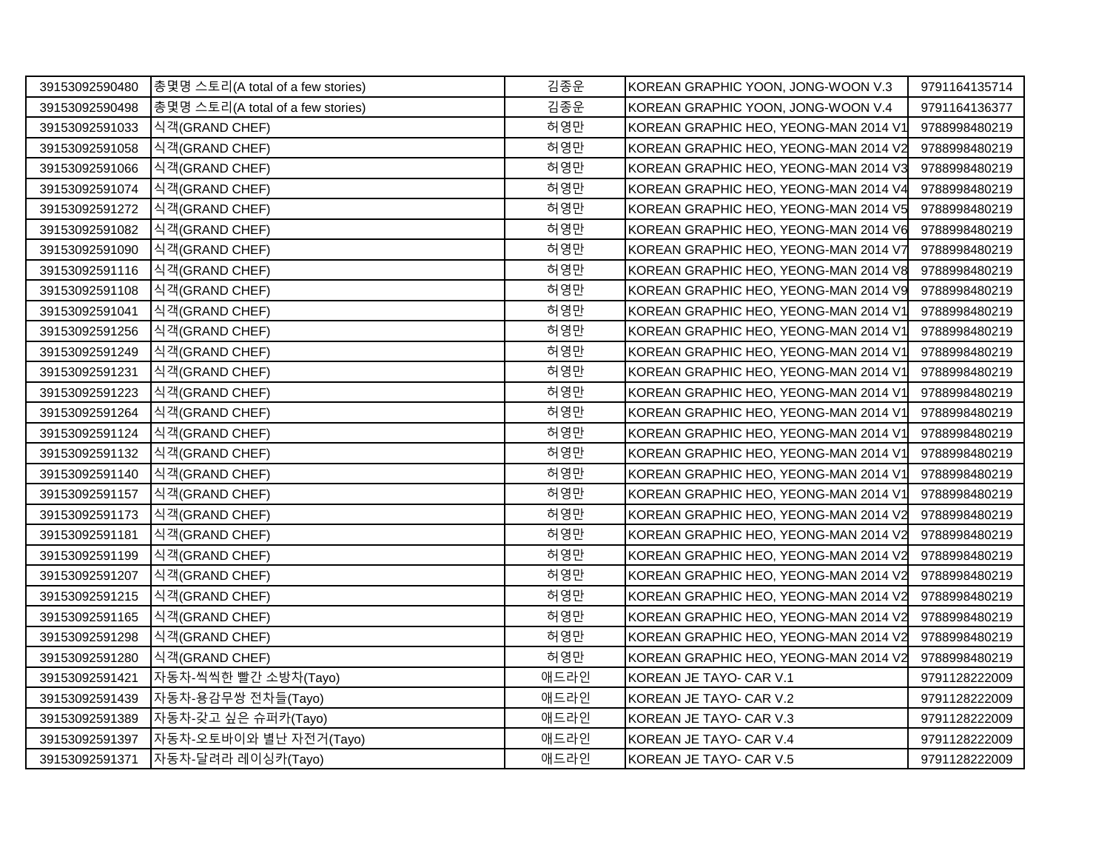| 39153092590480 | 총몇명 스토리(A total of a few stories) | 김종운  | KOREAN GRAPHIC YOON, JONG-WOON V.3    | 9791164135714 |
|----------------|-----------------------------------|------|---------------------------------------|---------------|
| 39153092590498 | 총몇명 스토리(A total of a few stories) | 김종운  | KOREAN GRAPHIC YOON, JONG-WOON V.4    | 9791164136377 |
| 39153092591033 | 식객(GRAND CHEF)                    | 허영만  | KOREAN GRAPHIC HEO, YEONG-MAN 2014 V1 | 9788998480219 |
| 39153092591058 | 식객(GRAND CHEF)                    | 허영만  | KOREAN GRAPHIC HEO, YEONG-MAN 2014 V2 | 9788998480219 |
| 39153092591066 | 식객(GRAND CHEF)                    | 허영만  | KOREAN GRAPHIC HEO, YEONG-MAN 2014 V3 | 9788998480219 |
| 39153092591074 | 식객(GRAND CHEF)                    | 허영만  | KOREAN GRAPHIC HEO, YEONG-MAN 2014 V4 | 9788998480219 |
| 39153092591272 | 식객(GRAND CHEF)                    | 허영만  | KOREAN GRAPHIC HEO, YEONG-MAN 2014 V5 | 9788998480219 |
| 39153092591082 | 식객(GRAND CHEF)                    | 허영만  | KOREAN GRAPHIC HEO, YEONG-MAN 2014 V6 | 9788998480219 |
| 39153092591090 | 식객(GRAND CHEF)                    | 허영만  | KOREAN GRAPHIC HEO, YEONG-MAN 2014 V7 | 9788998480219 |
| 39153092591116 | 식객(GRAND CHEF)                    | 허영만  | KOREAN GRAPHIC HEO, YEONG-MAN 2014 V8 | 9788998480219 |
| 39153092591108 | 식객(GRAND CHEF)                    | 허영만  | KOREAN GRAPHIC HEO, YEONG-MAN 2014 V9 | 9788998480219 |
| 39153092591041 | 식객(GRAND CHEF)                    | 허영만  | KOREAN GRAPHIC HEO, YEONG-MAN 2014 V1 | 9788998480219 |
| 39153092591256 | 식객(GRAND CHEF)                    | 허영만  | KOREAN GRAPHIC HEO, YEONG-MAN 2014 V1 | 9788998480219 |
| 39153092591249 | 식객(GRAND CHEF)                    | 허영만  | KOREAN GRAPHIC HEO, YEONG-MAN 2014 V1 | 9788998480219 |
| 39153092591231 | 식객(GRAND CHEF)                    | 허영만  | KOREAN GRAPHIC HEO, YEONG-MAN 2014 V1 | 9788998480219 |
| 39153092591223 | 식객(GRAND CHEF)                    | 허영만  | KOREAN GRAPHIC HEO, YEONG-MAN 2014 V1 | 9788998480219 |
| 39153092591264 | 식객(GRAND CHEF)                    | 허영만  | KOREAN GRAPHIC HEO, YEONG-MAN 2014 V1 | 9788998480219 |
| 39153092591124 | 식객(GRAND CHEF)                    | 허영만  | KOREAN GRAPHIC HEO, YEONG-MAN 2014 V1 | 9788998480219 |
| 39153092591132 | 식객(GRAND CHEF)                    | 허영만  | KOREAN GRAPHIC HEO, YEONG-MAN 2014 V1 | 9788998480219 |
| 39153092591140 | 식객(GRAND CHEF)                    | 허영만  | KOREAN GRAPHIC HEO, YEONG-MAN 2014 V1 | 9788998480219 |
| 39153092591157 | 식객(GRAND CHEF)                    | 허영만  | KOREAN GRAPHIC HEO, YEONG-MAN 2014 V1 | 9788998480219 |
| 39153092591173 | 식객(GRAND CHEF)                    | 허영만  | KOREAN GRAPHIC HEO, YEONG-MAN 2014 V2 | 9788998480219 |
| 39153092591181 | 식객(GRAND CHEF)                    | 허영만  | KOREAN GRAPHIC HEO, YEONG-MAN 2014 V2 | 9788998480219 |
| 39153092591199 | 식객(GRAND CHEF)                    | 허영만  | KOREAN GRAPHIC HEO, YEONG-MAN 2014 V2 | 9788998480219 |
| 39153092591207 | 식객(GRAND CHEF)                    | 허영만  | KOREAN GRAPHIC HEO, YEONG-MAN 2014 V2 | 9788998480219 |
| 39153092591215 | 식객(GRAND CHEF)                    | 허영만  | KOREAN GRAPHIC HEO, YEONG-MAN 2014 V2 | 9788998480219 |
| 39153092591165 | 식객(GRAND CHEF)                    | 허영만  | KOREAN GRAPHIC HEO, YEONG-MAN 2014 V2 | 9788998480219 |
| 39153092591298 | 식객(GRAND CHEF)                    | 허영만  | KOREAN GRAPHIC HEO, YEONG-MAN 2014 V2 | 9788998480219 |
| 39153092591280 | 식객(GRAND CHEF)                    | 허영만  | KOREAN GRAPHIC HEO, YEONG-MAN 2014 V2 | 9788998480219 |
| 39153092591421 | 자동차-씩씩한 빨간 소방차(Tayo)              | 애드라인 | KOREAN JE TAYO- CAR V.1               | 9791128222009 |
| 39153092591439 | 자동차-용감무쌍 전차들(Tayo)                | 애드라인 | KOREAN JE TAYO- CAR V.2               | 9791128222009 |
| 39153092591389 | 자동차-갖고 싶은 슈퍼카(Tayo)               | 애드라인 | KOREAN JE TAYO- CAR V.3               | 9791128222009 |
| 39153092591397 | 자동차-오토바이와 별난 자전거(Tayo)            | 애드라인 | KOREAN JE TAYO- CAR V.4               | 9791128222009 |
| 39153092591371 | 자동차-달려라 레이싱카(Tayo)                | 애드라인 | KOREAN JE TAYO- CAR V.5               | 9791128222009 |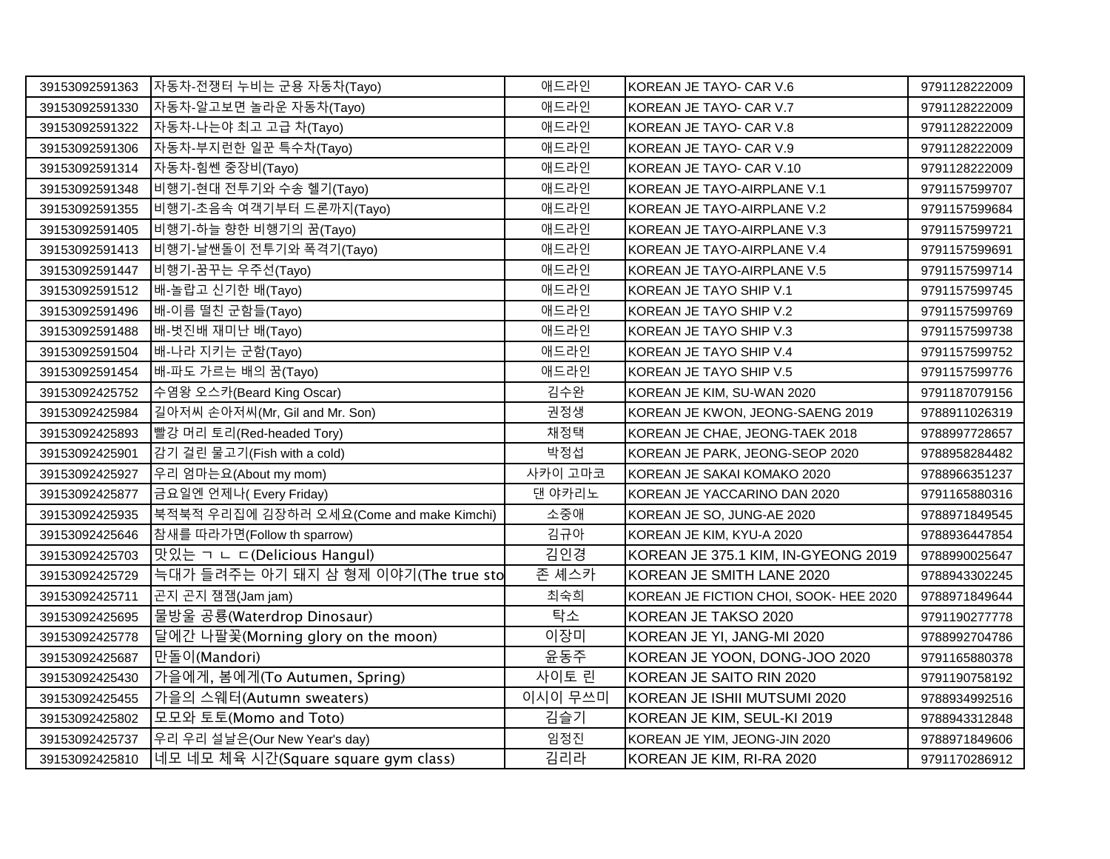| 39153092591363 | 자동차-전쟁터 누비는 군용 자동차(Tayo)                 | 애드라인    | KOREAN JE TAYO- CAR V.6                | 9791128222009 |
|----------------|------------------------------------------|---------|----------------------------------------|---------------|
| 39153092591330 | 자동차-알고보면 놀라운 자동차(Tayo)                   | 애드라인    | KOREAN JE TAYO- CAR V.7                | 9791128222009 |
| 39153092591322 | 자동차-나는야 최고 고급 차(Tayo)                    | 애드라인    | KOREAN JE TAYO- CAR V.8                | 9791128222009 |
| 39153092591306 | 자동차-부지런한 일꾼 특수차(Tayo)                    | 애드라인    | KOREAN JE TAYO- CAR V.9                | 9791128222009 |
| 39153092591314 | 자동차-힘쎈 중장비(Tayo)                         | 애드라인    | KOREAN JE TAYO- CAR V.10               | 9791128222009 |
| 39153092591348 | 비행기-현대 전투기와 수송 헬기(Tayo)                  | 애드라인    | KOREAN JE TAYO-AIRPLANE V.1            | 9791157599707 |
| 39153092591355 | 비행기-초음속 여객기부터 드론까지(Tayo)                 | 애드라인    | KOREAN JE TAYO-AIRPLANE V.2            | 9791157599684 |
| 39153092591405 | 비행기-하늘 향한 비행기의 꿈(Tayo)                   | 애드라인    | KOREAN JE TAYO-AIRPLANE V.3            | 9791157599721 |
| 39153092591413 | 비행기-날쌘돌이 전투기와 폭격기(Tayo)                  | 애드라인    | KOREAN JE TAYO-AIRPLANE V.4            | 9791157599691 |
| 39153092591447 | 비행기-꿈꾸는 우주선(Tayo)                        | 애드라인    | KOREAN JE TAYO-AIRPLANE V.5            | 9791157599714 |
| 39153092591512 | 배-놀랍고 신기한 배(Tayo)                        | 애드라인    | KOREAN JE TAYO SHIP V.1                | 9791157599745 |
| 39153092591496 | 배-이름 떨친 군함들(Tayo)                        | 애드라인    | KOREAN JE TAYO SHIP V.2                | 9791157599769 |
| 39153092591488 | 배-벗진배 재미난 배(Tayo)                        | 애드라인    | KOREAN JE TAYO SHIP V.3                | 9791157599738 |
| 39153092591504 | 배-나라 지키는 군함(Tayo)                        | 애드라인    | KOREAN JE TAYO SHIP V.4                | 9791157599752 |
| 39153092591454 | 배-파도 가르는 배의 꿈(Tayo)                      | 애드라인    | KOREAN JE TAYO SHIP V.5                | 9791157599776 |
| 39153092425752 | 수염왕 오스카(Beard King Oscar)                | 김수완     | KOREAN JE KIM, SU-WAN 2020             | 9791187079156 |
| 39153092425984 | 길아저씨 손아저씨(Mr, Gil and Mr. Son)           | 권정생     | KOREAN JE KWON, JEONG-SAENG 2019       | 9788911026319 |
| 39153092425893 | 빨강 머리 토리(Red-headed Tory)                | 채정택     | KOREAN JE CHAE, JEONG-TAEK 2018        | 9788997728657 |
| 39153092425901 | 감기 걸린 물고기(Fish with a cold)              | 박정섭     | KOREAN JE PARK, JEONG-SEOP 2020        | 9788958284482 |
| 39153092425927 | 우리 엄마는요(About my mom)                    | 사카이 고마코 | KOREAN JE SAKAI KOMAKO 2020            | 9788966351237 |
| 39153092425877 | 금요일엔 언제나( Every Friday)                  | 댄 야카리노  | KOREAN JE YACCARINO DAN 2020           | 9791165880316 |
| 39153092425935 | 북적북적 우리집에 김장하러 오세요(Come and make Kimchi) | 소중애     | KOREAN JE SO, JUNG-AE 2020             | 9788971849545 |
| 39153092425646 | 참새를 따라가면(Follow th sparrow)              | 김규아     | KOREAN JE KIM, KYU-A 2020              | 9788936447854 |
| 39153092425703 | 맛있는 ㄱ ㄴ ㄷ(Delicious Hangul)              | 김인경     | KOREAN JE 375.1 KIM, IN-GYEONG 2019    | 9788990025647 |
| 39153092425729 | 늑대가 들려주는 아기 돼지 삼 형제 이야기(The true sto     | 존 셰스카   | KOREAN JE SMITH LANE 2020              | 9788943302245 |
| 39153092425711 | 곤지 곤지 잼잼(Jam jam)                        | 최숙희     | KOREAN JE FICTION CHOI, SOOK- HEE 2020 | 9788971849644 |
| 39153092425695 | 물방울 공룡(Waterdrop Dinosaur)               | 탁소      | KOREAN JE TAKSO 2020                   | 9791190277778 |
| 39153092425778 | 달에간 나팔꽃(Morning glory on the moon)       | 이장미     | KOREAN JE YI, JANG-MI 2020             | 9788992704786 |
| 39153092425687 | 만돌이(Mandori)                             | 윤동주     | KOREAN JE YOON, DONG-JOO 2020          | 9791165880378 |
| 39153092425430 | 가을에게, 봄에게(To Autumen, Spring)            | 사이토 린   | KOREAN JE SAITO RIN 2020               | 9791190758192 |
| 39153092425455 | 가을의 스웨터(Autumn sweaters)                 | 이시이 무쓰미 | KOREAN JE ISHII MUTSUMI 2020           | 9788934992516 |
| 39153092425802 | 모모와 토토(Momo and Toto)                    | 김슬기     | KOREAN JE KIM, SEUL-KI 2019            | 9788943312848 |
| 39153092425737 | 우리 우리 설날은(Our New Year's day)            | 임정진     | KOREAN JE YIM, JEONG-JIN 2020          | 9788971849606 |
| 39153092425810 | 네모 네모 체육 시간(Square square gym class)     | 김리라     | KOREAN JE KIM, RI-RA 2020              | 9791170286912 |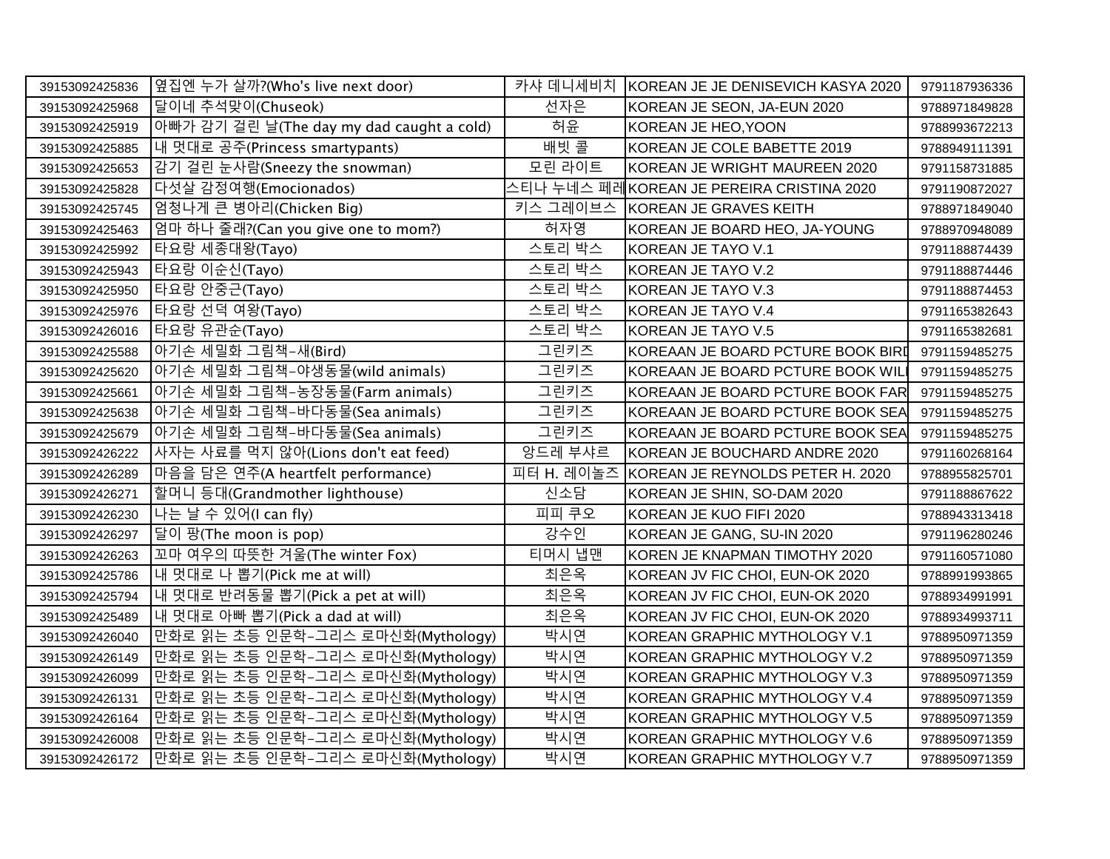| 39153092425836 | 옆집엔 누가 살까?(Who's live next door)          | 카샤 데니세비치   | KOREAN JE JE DENISEVICH KASYA 2020        | 9791187936336 |
|----------------|-------------------------------------------|------------|-------------------------------------------|---------------|
| 39153092425968 | 말이네 추석맞이(Chuseok)                         | 선자은        | KOREAN JE SEON, JA-EUN 2020               | 9788971849828 |
| 39153092425919 | 아빠가 감기 걸린 날(The day my dad caught a cold) | 허윤         | KOREAN JE HEO, YOON                       | 9788993672213 |
| 39153092425885 | 내 멋대로 공주(Princess smartypants)            | 배빗 콜       | KOREAN JE COLE BABETTE 2019               | 9788949111391 |
| 39153092425653 | 감기 걸린 눈사람(Sneezy the snowman)             | 모린 라이트     | KOREAN JE WRIGHT MAUREEN 2020             | 9791158731885 |
| 39153092425828 | 다섯살 감정여행(Emocionados)                     |            | 스티나 누네스 페레KOREAN JE PEREIRA CRISTINA 2020 | 9791190872027 |
| 39153092425745 | 엄청나게 큰 병아리(Chicken Big)                   | 키스 그레이브스   | KOREAN JE GRAVES KEITH                    | 9788971849040 |
| 39153092425463 | 엄마 하나 줄래?(Can you give one to mom?)       | 허자영        | KOREAN JE BOARD HEO, JA-YOUNG             | 9788970948089 |
| 39153092425992 | 타요랑 세종대왕(Tayo)                            | 스토리 박스     | KOREAN JE TAYO V.1                        | 9791188874439 |
| 39153092425943 | 타요랑 이순신(Tayo)                             | 스토리 박스     | KOREAN JE TAYO V.2                        | 9791188874446 |
| 39153092425950 | 타요랑 안중근(Tayo)                             | 스토리 박스     | KOREAN JE TAYO V.3                        | 9791188874453 |
| 39153092425976 | 타요랑 선덕 여왕(Tayo)                           | 스토리 박스     | KOREAN JE TAYO V.4                        | 9791165382643 |
| 39153092426016 | 타요랑 유관순(Tayo)                             | 스토리 박스     | KOREAN JE TAYO V.5                        | 9791165382681 |
| 39153092425588 | 아기손 세밀화 그림책-새(Bird)                       | 그린키즈       | KOREAAN JE BOARD PCTURE BOOK BIRI         | 9791159485275 |
| 39153092425620 | 아기손 세밀화 그림책-야생동물(wild animals)            | 그린키즈       | KOREAAN JE BOARD PCTURE BOOK WILI         | 9791159485275 |
| 39153092425661 | 아기손 세밀화 그림책-농장동물(Farm animals)            | 그린키즈       | KOREAAN JE BOARD PCTURE BOOK FAR          | 9791159485275 |
| 39153092425638 | 아기손 세밀화 그림책-바다동물(Sea animals)             | 그린키즈       | KOREAAN JE BOARD PCTURE BOOK SEA          | 9791159485275 |
| 39153092425679 | 아기손 세밀화 그림책-바다동물(Sea animals)             | 그린키즈       | KOREAAN JE BOARD PCTURE BOOK SEA          | 9791159485275 |
| 39153092426222 | 사자는 사료를 먹지 않아(Lions don't eat feed)       | 앙드레 부샤르    | KOREAN JE BOUCHARD ANDRE 2020             | 9791160268164 |
| 39153092426289 | 마음을 담은 연주(A heartfelt performance)        | 피터 H. 레이놀즈 | KOREAN JE REYNOLDS PETER H. 2020          | 9788955825701 |
| 39153092426271 | 할머니 등대(Grandmother lighthouse)            | 신소담        | KOREAN JE SHIN, SO-DAM 2020               | 9791188867622 |
| 39153092426230 | 나는 날 수 있어(I can fly)                      | 피피 쿠오      | KOREAN JE KUO FIFI 2020                   | 9788943313418 |
| 39153092426297 | 달이 팡(The moon is pop)                     | 강수인        | KOREAN JE GANG, SU-IN 2020                | 9791196280246 |
| 39153092426263 | 고마 여우의 따뜻한 겨울(The winter Fox)             | 티머시 냅맨     | KOREN JE KNAPMAN TIMOTHY 2020             | 9791160571080 |
| 39153092425786 | 내 멋대로 나 뽑기(Pick me at will)               | 최은옥        | KOREAN JV FIC CHOI, EUN-OK 2020           | 9788991993865 |
| 39153092425794 | 내 멋대로 반려동물 뽑기(Pick a pet at will)         | 최은옥        | KOREAN JV FIC CHOI, EUN-OK 2020           | 9788934991991 |
| 39153092425489 | 내 멋대로 아빠 뽑기(Pick a dad at will)           | 최은옥        | KOREAN JV FIC CHOI, EUN-OK 2020           | 9788934993711 |
| 39153092426040 | 만화로 읽는 초등 인문학-그리스 로마신화(Mythology)         | 박시연        | KOREAN GRAPHIC MYTHOLOGY V.1              | 9788950971359 |
| 39153092426149 | 만화로 읽는 초등 인문학-그리스 로마신화(Mythology)         | 박시연        | KOREAN GRAPHIC MYTHOLOGY V.2              | 9788950971359 |
| 39153092426099 | 만화로 읽는 초등 인문학-그리스 로마신화(Mythology)         | 박시연        | KOREAN GRAPHIC MYTHOLOGY V.3              | 9788950971359 |
| 39153092426131 | 만화로 읽는 초등 인문학-그리스 로마신화(Mythology)         | 박시연        | KOREAN GRAPHIC MYTHOLOGY V.4              | 9788950971359 |
| 39153092426164 | 만화로 읽는 초등 인문학-그리스 로마신화(Mythology)         | 박시연        | KOREAN GRAPHIC MYTHOLOGY V.5              | 9788950971359 |
| 39153092426008 | 만화로 읽는 초등 인문학-그리스 로마신화(Mythology)         | 박시연        | KOREAN GRAPHIC MYTHOLOGY V.6              | 9788950971359 |
| 39153092426172 | 만화로 읽는 초등 인문학-그리스 로마신화(Mythology)         | 팍시연        | KOREAN GRAPHIC MYTHOLOGY V.7              | 9788950971359 |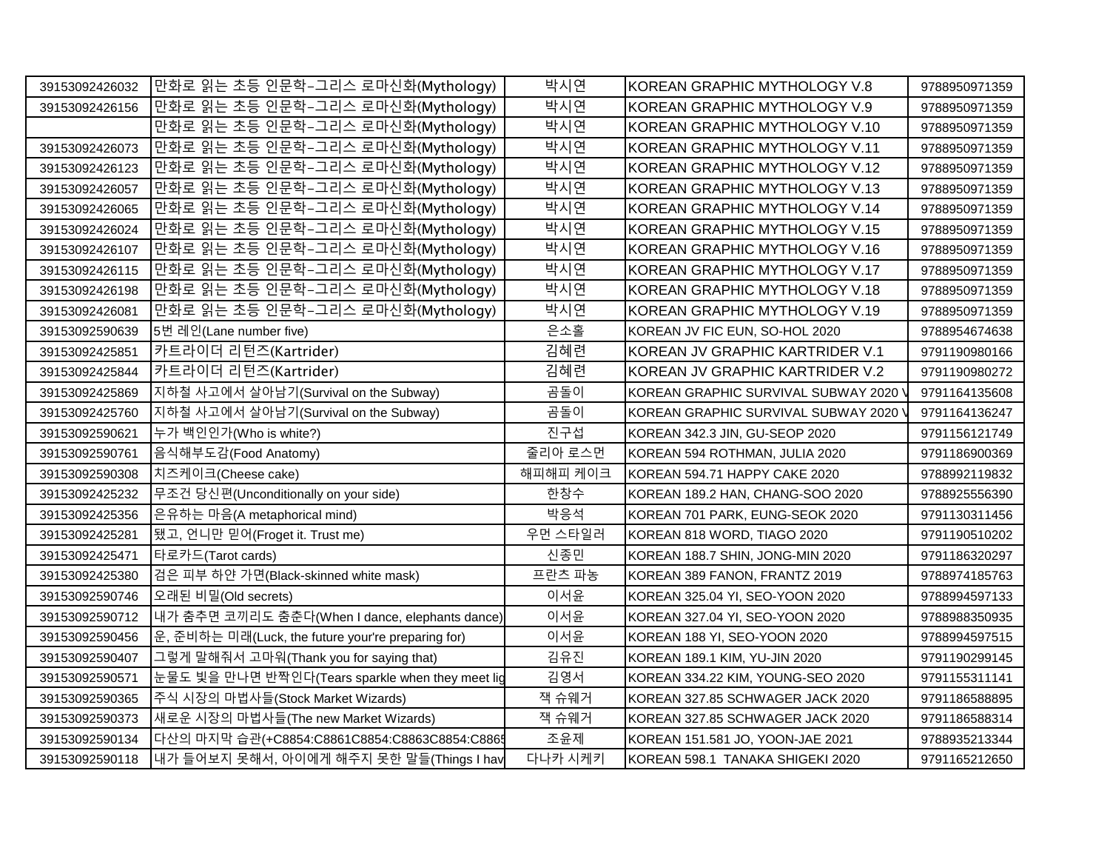| 39153092426032 | 만화로 읽는 초등 인문학-그리스 로마신화(Mythology)                  | 박시연      | KOREAN GRAPHIC MYTHOLOGY V.8        | 9788950971359 |
|----------------|----------------------------------------------------|----------|-------------------------------------|---------------|
|                |                                                    |          |                                     |               |
| 39153092426156 | 만화로 읽는 초등 인문학-그리스 로마신화(Mythology)                  | 박시연      | KOREAN GRAPHIC MYTHOLOGY V.9        | 9788950971359 |
|                | 만화로 읽는 초등 인문학-그리스 로마신화(Mythology)                  | 박시연      | KOREAN GRAPHIC MYTHOLOGY V.10       | 9788950971359 |
| 39153092426073 | 만화로 읽는 초등 인문학-그리스 로마신화(Mythology)                  | 박시연      | KOREAN GRAPHIC MYTHOLOGY V.11       | 9788950971359 |
| 39153092426123 | 만화로 읽는 초등 인문학-그리스 로마신화(Mythology)                  | 박시연      | KOREAN GRAPHIC MYTHOLOGY V.12       | 9788950971359 |
| 39153092426057 | 만화로 읽는 초등 인문학-그리스 로마신화(Mythology)                  | 박시연      | KOREAN GRAPHIC MYTHOLOGY V.13       | 9788950971359 |
| 39153092426065 | 만화로 읽는 초등 인문학-그리스 로마신화(Mythology)                  | 박시연      | KOREAN GRAPHIC MYTHOLOGY V.14       | 9788950971359 |
| 39153092426024 | 만화로 읽는 초등 인문학-그리스 로마신화(Mythology)                  | 박시연      | KOREAN GRAPHIC MYTHOLOGY V.15       | 9788950971359 |
| 39153092426107 | 만화로 읽는 초등 인문학-그리스 로마신화(Mythology)                  | 박시연      | KOREAN GRAPHIC MYTHOLOGY V.16       | 9788950971359 |
| 39153092426115 | 만화로 읽는 초등 인문학-그리스 로마신화(Mythology)                  | 박시연      | KOREAN GRAPHIC MYTHOLOGY V.17       | 9788950971359 |
| 39153092426198 | 만화로 읽는 초등 인문학-그리스 로마신화(Mythology)                  | 박시연      | KOREAN GRAPHIC MYTHOLOGY V.18       | 9788950971359 |
| 39153092426081 | 만화로 읽는 초등 인문학-그리스 로마신화(Mythology)                  | 박시연      | KOREAN GRAPHIC MYTHOLOGY V.19       | 9788950971359 |
| 39153092590639 | 5번 레인(Lane number five)                            | 은소홀      | KOREAN JV FIC EUN, SO-HOL 2020      | 9788954674638 |
| 39153092425851 | 카트라이더 리턴즈(Kartrider)                               | 김혜련      | KOREAN JV GRAPHIC KARTRIDER V.1     | 9791190980166 |
| 39153092425844 | 카트라이더 리턴즈(Kartrider)                               | 김혜련      | KOREAN JV GRAPHIC KARTRIDER V.2     | 9791190980272 |
| 39153092425869 | 지하철 사고에서 살아남기(Survival on the Subway)              | 곰돌이      | KOREAN GRAPHIC SURVIVAL SUBWAY 2020 | 9791164135608 |
| 39153092425760 | 지하철 사고에서 살아남기(Survival on the Subway)              | 곰돌이      | KOREAN GRAPHIC SURVIVAL SUBWAY 2020 | 9791164136247 |
| 39153092590621 | 누가 백인인가(Who is white?)                             | 진구섭      | KOREAN 342.3 JIN, GU-SEOP 2020      | 9791156121749 |
| 39153092590761 | 음식해부도감(Food Anatomy)                               | 줄리아 로스먼  | KOREAN 594 ROTHMAN, JULIA 2020      | 9791186900369 |
| 39153092590308 | 치즈케이크(Cheese cake)                                 | 해피해피 케이크 | KOREAN 594.71 HAPPY CAKE 2020       | 9788992119832 |
| 39153092425232 | 무조건 당신편(Unconditionally on your side)              | 한창수      | KOREAN 189.2 HAN, CHANG-SOO 2020    | 9788925556390 |
| 39153092425356 | 은유하는 마음(A metaphorical mind)                       | 박응석      | KOREAN 701 PARK, EUNG-SEOK 2020     | 9791130311456 |
| 39153092425281 | 됐고, 언니만 믿어(Froget it. Trust me)                    | 우먼 스타일러  | KOREAN 818 WORD, TIAGO 2020         | 9791190510202 |
| 39153092425471 | 타로카드(Tarot cards)                                  | 신종민      | KOREAN 188.7 SHIN, JONG-MIN 2020    | 9791186320297 |
| 39153092425380 | 검은 피부 하얀 가면(Black-skinned white mask)              | 프란츠 파농   | KOREAN 389 FANON, FRANTZ 2019       | 9788974185763 |
| 39153092590746 | 오래된 비밀(Old secrets)                                | 이서윤      | KOREAN 325.04 YI, SEO-YOON 2020     | 9788994597133 |
| 39153092590712 | 내가 춤추면 코끼리도 춤춘다(When I dance, elephants dance)     | 이서윤      | KOREAN 327.04 YI, SEO-YOON 2020     | 9788988350935 |
| 39153092590456 | 운, 준비하는 미래(Luck, the future your're preparing for) | 이서윤      | KOREAN 188 YI, SEO-YOON 2020        | 9788994597515 |
| 39153092590407 | 그렇게 말해줘서 고마워(Thank you for saying that)            | 김유진      | KOREAN 189.1 KIM, YU-JIN 2020       | 9791190299145 |
| 39153092590571 | 눈물도 빛을 만나면 반짝인다(Tears sparkle when they meet lig   | 김영서      | KOREAN 334.22 KIM, YOUNG-SEO 2020   | 9791155311141 |
| 39153092590365 | 주식 시장의 마법사들(Stock Market Wizards)                  | 잭 슈웨거    | KOREAN 327.85 SCHWAGER JACK 2020    | 9791186588895 |
| 39153092590373 | 새로운 시장의 마법사들(The new Market Wizards)               | 잭 슈웨거    | KOREAN 327.85 SCHWAGER JACK 2020    | 9791186588314 |
| 39153092590134 | 다산의 마지막 습관(+C8854:C8861C8854:C8863C8854:C8865      | 조윤제      | KOREAN 151.581 JO, YOON-JAE 2021    | 9788935213344 |
| 39153092590118 | 내가 들어보지 못해서, 아이에게 해주지 못한 말들(Things I hav           | 다나카 시케키  | KOREAN 598.1 TANAKA SHIGEKI 2020    | 9791165212650 |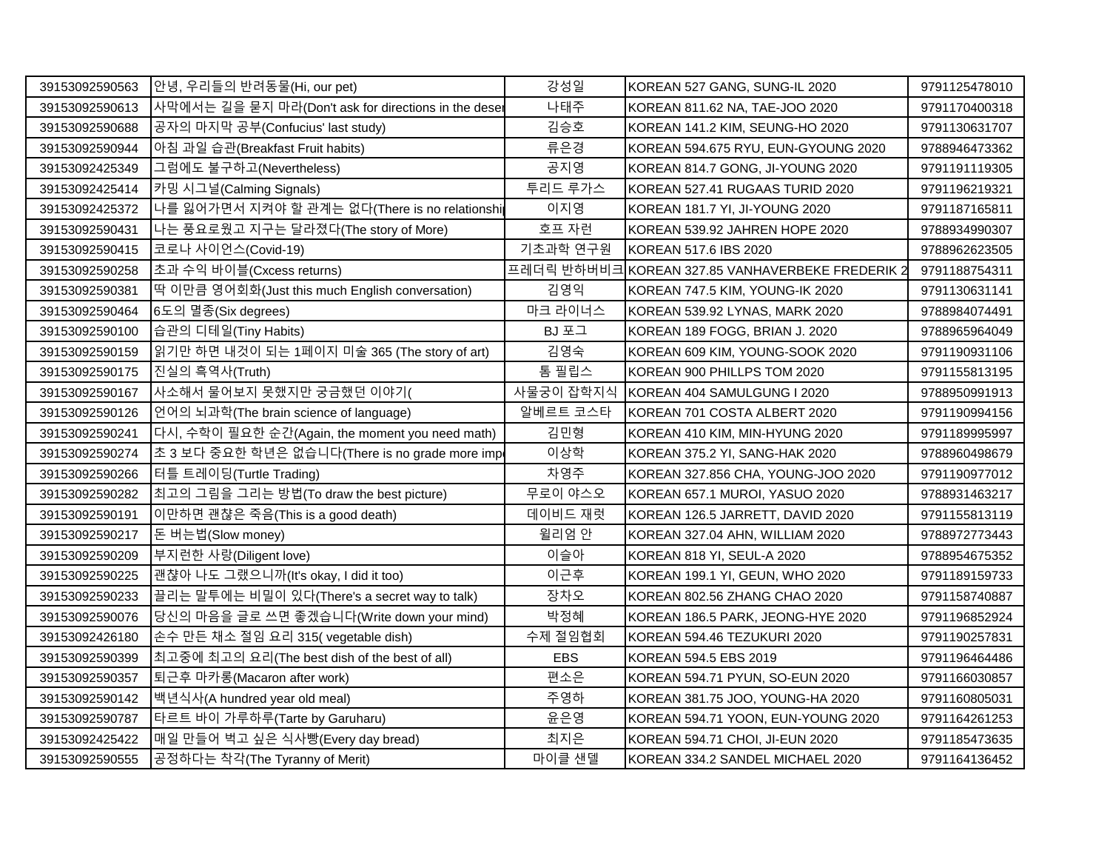| 39153092590563 | 안녕, 우리들의 반려동물(Hi, our pet)                           | 강성일        | KOREAN 527 GANG, SUNG-IL 2020                   | 9791125478010 |
|----------------|------------------------------------------------------|------------|-------------------------------------------------|---------------|
| 39153092590613 | 사막에서는 길을 묻지 마라(Don't ask for directions in the deser | 나태주        | KOREAN 811.62 NA, TAE-JOO 2020                  | 9791170400318 |
| 39153092590688 | 공자의 마지막 공부(Confucius' last study)                    | 김승호        | KOREAN 141.2 KIM, SEUNG-HO 2020                 | 9791130631707 |
| 39153092590944 | 아침 과일 습관(Breakfast Fruit habits)                     | 류은경        | KOREAN 594.675 RYU, EUN-GYOUNG 2020             | 9788946473362 |
| 39153092425349 | 그럼에도 불구하고(Nevertheless)                              | 공지영        | KOREAN 814.7 GONG, JI-YOUNG 2020                | 9791191119305 |
| 39153092425414 | 카밍 시그널(Calming Signals)                              | 투리드 루가스    | KOREAN 527.41 RUGAAS TURID 2020                 | 9791196219321 |
| 39153092425372 | 나를 잃어가면서 지켜야 할 관계는 없다(There is no relationship       | 이지영        | KOREAN 181.7 YI, JI-YOUNG 2020                  | 9791187165811 |
| 39153092590431 | 나는 풍요로웠고 지구는 달라졌다(The story of More)                 | 호프 자런      | KOREAN 539.92 JAHREN HOPE 2020                  | 9788934990307 |
| 39153092590415 | 코로나 사이언스(Covid-19)                                   | 기초과학 연구원   | KOREAN 517.6 IBS 2020                           | 9788962623505 |
| 39153092590258 | 초과 수익 바이블(Cxcess returns)                            |            | 프레더릭 반하버비크KOREAN 327.85 VANHAVERBEKE FREDERIK 2 | 9791188754311 |
| 39153092590381 | 딱 이만큼 영어회화(Just this much English conversation)      | 김영익        | KOREAN 747.5 KIM, YOUNG-IK 2020                 | 9791130631141 |
| 39153092590464 | 6도의 멸종(Six degrees)                                  | 마크 라이너스    | KOREAN 539.92 LYNAS, MARK 2020                  | 9788984074491 |
| 39153092590100 | 습관의 디테일(Tiny Habits)                                 | BJ 포그      | KOREAN 189 FOGG, BRIAN J. 2020                  | 9788965964049 |
| 39153092590159 | 읽기만 하면 내것이 되는 1페이지 미술 365 (The story of art)         | 김영숙        | KOREAN 609 KIM, YOUNG-SOOK 2020                 | 9791190931106 |
| 39153092590175 | 진실의 흑역사(Truth)                                       | 톰 필립스      | KOREAN 900 PHILLPS TOM 2020                     | 9791155813195 |
| 39153092590167 | 사소해서 물어보지 못했지만 궁금했던 이야기(                             | 사물궁이 잡학지식  | KOREAN 404 SAMULGUNG I 2020                     | 9788950991913 |
| 39153092590126 | 언어의 뇌과학(The brain science of language)               | 알베르트 코스타   | KOREAN 701 COSTA ALBERT 2020                    | 9791190994156 |
| 39153092590241 | 다시, 수학이 필요한 순간(Again, the moment you need math)      | 김민형        | KOREAN 410 KIM, MIN-HYUNG 2020                  | 9791189995997 |
| 39153092590274 | 초 3 보다 중요한 학년은 없습니다(There is no grade more imp       | 이상학        | KOREAN 375.2 YI, SANG-HAK 2020                  | 9788960498679 |
| 39153092590266 | 터틀 트레이딩(Turtle Trading)                              | 차영주        | KOREAN 327.856 CHA, YOUNG-JOO 2020              | 9791190977012 |
| 39153092590282 | 최고의 그림을 그리는 방법(To draw the best picture)             | 무로이 야스오    | KOREAN 657.1 MUROI, YASUO 2020                  | 9788931463217 |
| 39153092590191 | 이만하면 괜챦은 죽음(This is a good death)                    | 데이비드 재럿    | KOREAN 126.5 JARRETT, DAVID 2020                | 9791155813119 |
| 39153092590217 | 돈 버는법(Slow money)                                    | 윌리엄 안      | KOREAN 327.04 AHN, WILLIAM 2020                 | 9788972773443 |
| 39153092590209 | 부지런한 사랑(Diligent love)                               | 이슬아        | KOREAN 818 YI, SEUL-A 2020                      | 9788954675352 |
| 39153092590225 | 괜챦아 나도 그랬으니까(It's okay, I did it too)                | 이근후        | KOREAN 199.1 YI, GEUN, WHO 2020                 | 9791189159733 |
| 39153092590233 | 끌리는 말투에는 비밀이 있다(There's a secret way to talk)        | 장차오        | KOREAN 802.56 ZHANG CHAO 2020                   | 9791158740887 |
| 39153092590076 | 당신의 마음을 글로 쓰면 좋겠습니다(Write down your mind)            | 박정혜        | KOREAN 186.5 PARK, JEONG-HYE 2020               | 9791196852924 |
| 39153092426180 | 손수 만든 채소 절임 요리 315(vegetable dish)                   | 수제 절임협회    | KOREAN 594.46 TEZUKURI 2020                     | 9791190257831 |
| 39153092590399 | 최고중에 최고의 요리(The best dish of the best of all)        | <b>EBS</b> | KOREAN 594.5 EBS 2019                           | 9791196464486 |
| 39153092590357 | 퇴근후 마카롱(Macaron after work)                          | 편소은        | KOREAN 594.71 PYUN, SO-EUN 2020                 | 9791166030857 |
| 39153092590142 | 백년식사(A hundred year old meal)                        | 주영하        | KOREAN 381.75 JOO, YOUNG-HA 2020                | 9791160805031 |
| 39153092590787 | 타르트 바이 가루하루(Tarte by Garuharu)                       | 윤은영        | KOREAN 594.71 YOON, EUN-YOUNG 2020              | 9791164261253 |
| 39153092425422 | 매일 만들어 벅고 싶은 식사빵(Every day bread)                    | 최지은        | KOREAN 594.71 CHOI, JI-EUN 2020                 | 9791185473635 |
| 39153092590555 | 공정하다는 착각(The Tyranny of Merit)                       | 마이클 샌델     | KOREAN 334.2 SANDEL MICHAEL 2020                | 9791164136452 |